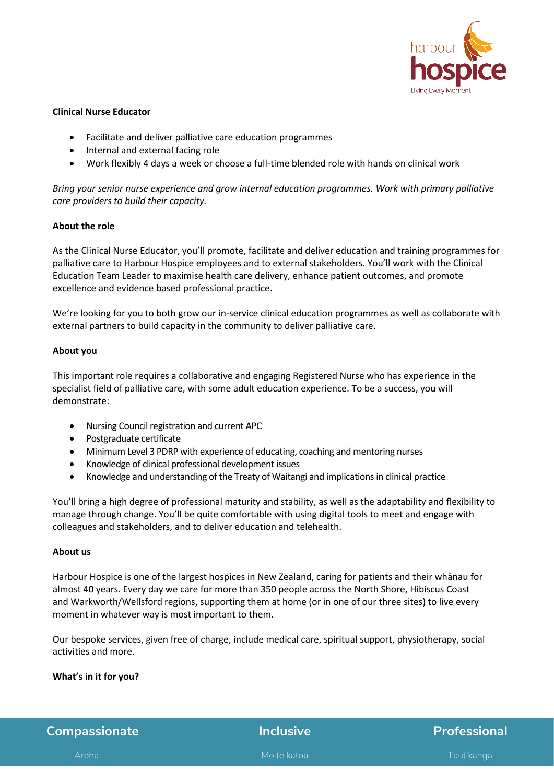

#### **Clinical Nurse Educator**

- Facilitate and deliver palliative care education programmes
- Internal and external facing role
- Work flexibly 4 days a week or choose a full-time blended role with hands on clinical work

*Bring your senior nurse experience and grow internal education programmes. Work with primary palliative care providers to build their capacity.* 

## **About the role**

As the Clinical Nurse Educator, you'll promote, facilitate and deliver education and training programmes for palliative care to Harbour Hospice employees and to external stakeholders. You'll work with the Clinical Education Team Leader to maximise health care delivery, enhance patient outcomes, and promote excellence and evidence based professional practice.

We're looking for you to both grow our in-service clinical education programmes as well as collaborate with external partners to build capacity in the community to deliver palliative care.

## **About you**

This important role requires a collaborative and engaging Registered Nurse who has experience in the specialist field of palliative care, with some adult education experience. To be a success, you will demonstrate:

- Nursing Council registration and current APC
- Postgraduate certificate
- Minimum Level 3 PDRP with experience of educating, coaching and mentoring nurses
- Knowledge of clinical professional development issues
- Knowledge and understanding of the Treaty of Waitangi and implications in clinical practice

You'll bring a high degree of professional maturity and stability, as well as the adaptability and flexibility to manage through change. You'll be quite comfortable with using digital tools to meet and engage with colleagues and stakeholders, and to deliver education and telehealth.

#### **About us**

Harbour Hospice is one of the largest hospices in New Zealand, caring for patients and their whānau for almost 40 years. Every day we care for more than 350 people across the North Shore, Hibiscus Coast and Warkworth/Wellsford regions, supporting them at home (or in one of our three sites) to live every moment in whatever way is most important to them. 

Our bespoke services, given free of charge, include medical care, spiritual support, physiotherapy, social activities and more.

# **What's in it for you?**

**Compassionate Inclusive <b>Professional** Aroha Mo te katoa Tautikanga